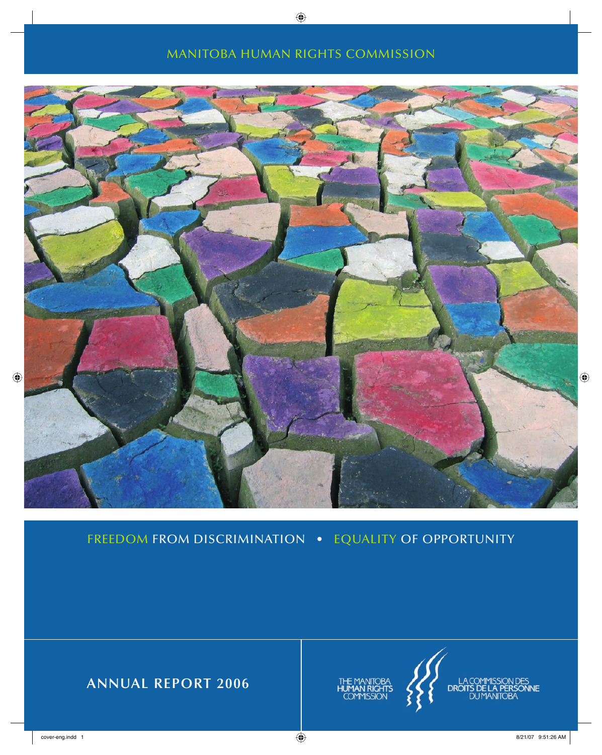### MANITOBA HUMAN RIGHTS COMMISSION



FREEDOM FROM DISCRIMINATION • EQUALITY OF OPPORTUNITY

**ANNUAL REPORT 2006**





,<br>NNE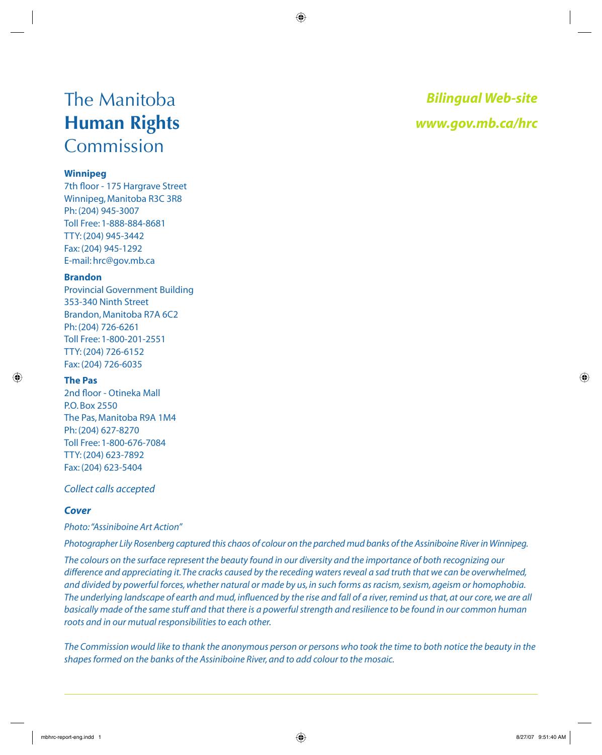## The Manitoba **Human Rights**  Commission

#### **Winnipeg**

7th floor - 175 Hargrave Street Winnipeg, Manitoba R3C 3R8 Ph: (204) 945-3007 Toll Free: 1-888-884-8681 TTY: (204) 945-3442 Fax: (204) 945-1292 E-mail: hrc@gov.mb.ca

#### **Brandon**

Provincial Government Building 353-340 Ninth Street Brandon, Manitoba R7A 6C2 Ph: (204) 726-6261 Toll Free: 1-800-201-2551 TTY: (204) 726-6152 Fax: (204) 726-6035

#### **The Pas**

2nd floor - Otineka Mall P.O. Box 2550 The Pas, Manitoba R9A 1M4 Ph: (204) 627-8270 Toll Free: 1-800-676-7084 TTY: (204) 623-7892 Fax: (204) 623-5404

#### *Collect calls accepted*

### *Cover*

#### *Photo: "Assiniboine Art Action"*

*Photographer Lily Rosenberg captured this chaos of colour on the parched mud banks of the Assiniboine River in Winnipeg.* 

*The colours on the surface represent the beauty found in our diversity and the importance of both recognizing our difference and appreciating it. The cracks caused by the receding waters reveal a sad truth that we can be overwhelmed, and divided by powerful forces, whether natural or made by us, in such forms as racism, sexism, ageism or homophobia.*  The underlying landscape of earth and mud, influenced by the rise and fall of a river, remind us that, at our core, we are all basically made of the same stuff and that there is a powerful strength and resilience to be found in our common human *roots and in our mutual responsibilities to each other.* 

*The Commission would like to thank the anonymous person or persons who took the time to both notice the beauty in the shapes formed on the banks of the Assiniboine River, and to add colour to the mosaic.*

*Bilingual Web-site www.gov.mb.ca/hrc*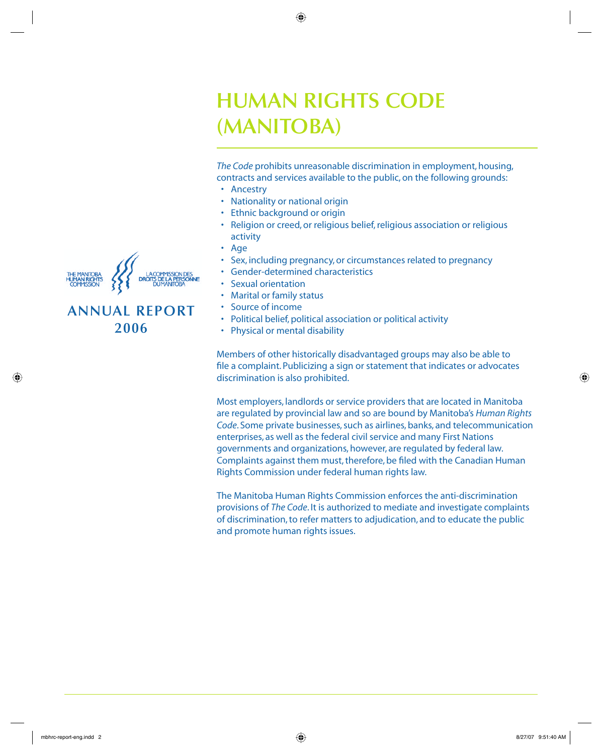## **HUMAN RIGHTS CODE (MANITOBA)**

*The Code* prohibits unreasonable discrimination in employment, housing, contracts and services available to the public, on the following grounds:

- Ancestry
- Nationality or national origin
- Ethnic background or origin
- Religion or creed, or religious belief, religious association or religious activity
- Age
- Sex, including pregnancy, or circumstances related to pregnancy
- Gender-determined characteristics
- Sexual orientation
- Marital or family status
- Source of income
- Political belief, political association or political activity
- Physical or mental disability

Members of other historically disadvantaged groups may also be able to file a complaint. Publicizing a sign or statement that indicates or advocates discrimination is also prohibited.

Most employers, landlords or service providers that are located in Manitoba are regulated by provincial law and so are bound by Manitoba's *Human Rights Code*. Some private businesses, such as airlines, banks, and telecommunication enterprises, as well as the federal civil service and many First Nations governments and organizations, however, are regulated by federal law. Complaints against them must, therefore, be filed with the Canadian Human Rights Commission under federal human rights law.

The Manitoba Human Rights Commission enforces the anti-discrimination provisions of *The Code*. It is authorized to mediate and investigate complaints of discrimination, to refer matters to adjudication, and to educate the public and promote human rights issues.



### **ANNUAL REPORT 2006**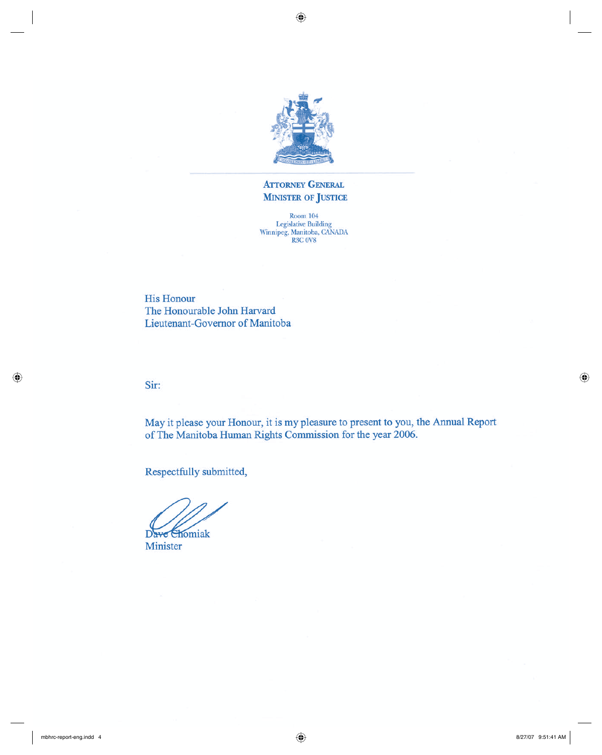

### **ATTORNEY GENERAL MINISTER OF JUSTICE**

 $\begin{array}{c} \text{Room 104}\\ \text{Legislative Building}\\ \text{Winnipeg, Manitoba, CANADA}\\ \text{R3C 0V8} \end{array}$ 

**His Honour** The Honourable John Harvard Lieutenant-Governor of Manitoba

Sir:

May it please your Honour, it is my pleasure to present to you, the Annual Report of The Manitoba Human Rights Commission for the year 2006.

Respectfully submitted,

Dave Chomiak

Minister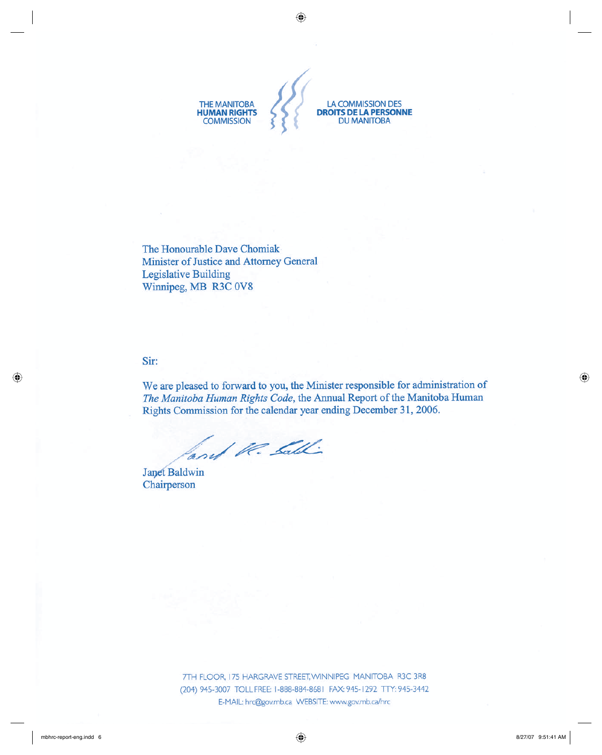

The Honourable Dave Chomiak Minister of Justice and Attorney General **Legislative Building** Winnipeg, MB R3C 0V8

Sir:

We are pleased to forward to you, the Minister responsible for administration of The Manitoba Human Rights Code, the Annual Report of the Manitoba Human Rights Commission for the calendar year ending December 31, 2006.

and U. Lall

**Janet Baldwin** Chairperson

> 7TH FLOOR, 175 HARGRAVE STREET, WINNIPEG MANITOBA R3C 3R8 (204) 945-3007 TOLL FREE: 1-888-884-8681 FAX: 945-1292 TTY: 945-3442 E-MAIL: hrc@gov.mb.ca WEBSITE: www.gov.mb.ca/hrc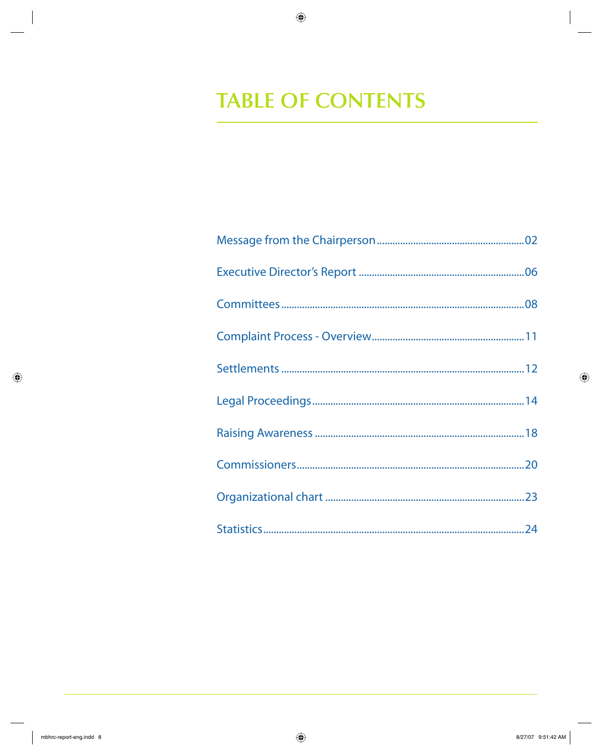# **TABLE OF CONTENTS**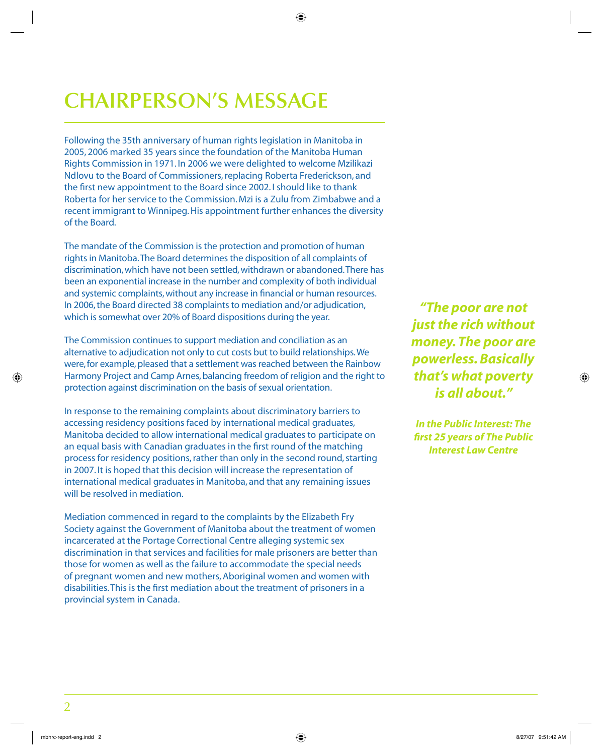# **CHAIRPERSON'S MESSAGE**

Following the 35th anniversary of human rights legislation in Manitoba in 2005, 2006 marked 35 years since the foundation of the Manitoba Human Rights Commission in 1971. In 2006 we were delighted to welcome Mzilikazi Ndlovu to the Board of Commissioners, replacing Roberta Frederickson, and the first new appointment to the Board since 2002. I should like to thank Roberta for her service to the Commission. Mzi is a Zulu from Zimbabwe and a recent immigrant to Winnipeg. His appointment further enhances the diversity of the Board.

The mandate of the Commission is the protection and promotion of human rights in Manitoba. The Board determines the disposition of all complaints of discrimination, which have not been settled, withdrawn or abandoned. There has been an exponential increase in the number and complexity of both individual and systemic complaints, without any increase in financial or human resources. In 2006, the Board directed 38 complaints to mediation and/or adjudication, which is somewhat over 20% of Board dispositions during the year.

The Commission continues to support mediation and conciliation as an alternative to adjudication not only to cut costs but to build relationships. We were, for example, pleased that a settlement was reached between the Rainbow Harmony Project and Camp Arnes, balancing freedom of religion and the right to protection against discrimination on the basis of sexual orientation.

In response to the remaining complaints about discriminatory barriers to accessing residency positions faced by international medical graduates, Manitoba decided to allow international medical graduates to participate on an equal basis with Canadian graduates in the first round of the matching process for residency positions, rather than only in the second round, starting in 2007. It is hoped that this decision will increase the representation of international medical graduates in Manitoba, and that any remaining issues will be resolved in mediation.

Mediation commenced in regard to the complaints by the Elizabeth Fry Society against the Government of Manitoba about the treatment of women incarcerated at the Portage Correctional Centre alleging systemic sex discrimination in that services and facilities for male prisoners are better than those for women as well as the failure to accommodate the special needs of pregnant women and new mothers, Aboriginal women and women with disabilities. This is the first mediation about the treatment of prisoners in a provincial system in Canada.

*"The poor are not just the rich without money. The poor are powerless. Basically that's what poverty is all about."*

*In the Public Interest: The fi rst 25 years of The Public Interest Law Centre*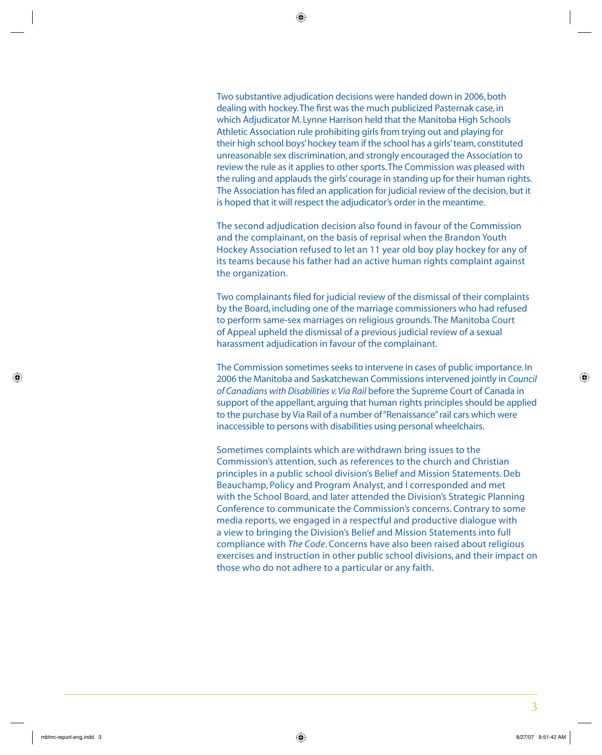Two substantive adjudication decisions were handed down in 2006, both dealing with hockey. The first was the much publicized Pasternak case, in which Adjudicator M. Lynne Harrison held that the Manitoba High Schools Athletic Association rule prohibiting girls from trying out and playing for their high school boys' hockey team if the school has a girls' team, constituted unreasonable sex discrimination, and strongly encouraged the Association to review the rule as it applies to other sports. The Commission was pleased with the ruling and applauds the girls' courage in standing up for their human rights. The Association has filed an application for judicial review of the decision, but it is hoped that it will respect the adjudicator's order in the meantime.

The second adjudication decision also found in favour of the Commission and the complainant, on the basis of reprisal when the Brandon Youth Hockey Association refused to let an 11 year old boy play hockey for any of its teams because his father had an active human rights complaint against the organization.

Two complainants filed for judicial review of the dismissal of their complaints by the Board, including one of the marriage commissioners who had refused to perform same-sex marriages on religious grounds. The Manitoba Court of Appeal upheld the dismissal of a previous judicial review of a sexual harassment adjudication in favour of the complainant.

The Commission sometimes seeks to intervene in cases of public importance. In 2006 the Manitoba and Saskatchewan Commissions intervened jointly in *Council of Canadians with Disabilities v. Via Rail* before the Supreme Court of Canada in support of the appellant, arguing that human rights principles should be applied to the purchase by Via Rail of a number of "Renaissance" rail cars which were inaccessible to persons with disabilities using personal wheelchairs.

Sometimes complaints which are withdrawn bring issues to the Commission's attention, such as references to the church and Christian principles in a public school division's Belief and Mission Statements. Deb Beauchamp, Policy and Program Analyst, and I corresponded and met with the School Board, and later attended the Division's Strategic Planning Conference to communicate the Commission's concerns. Contrary to some media reports, we engaged in a respectful and productive dialogue with a view to bringing the Division's Belief and Mission Statements into full compliance with *The Code*. Concerns have also been raised about religious exercises and instruction in other public school divisions, and their impact on those who do not adhere to a particular or any faith.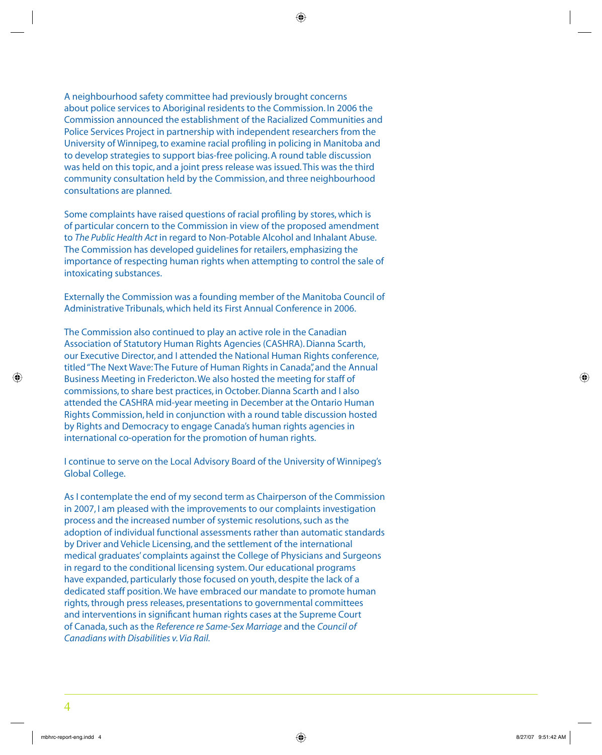A neighbourhood safety committee had previously brought concerns about police services to Aboriginal residents to the Commission. In 2006 the Commission announced the establishment of the Racialized Communities and Police Services Project in partnership with independent researchers from the University of Winnipeg, to examine racial profiling in policing in Manitoba and to develop strategies to support bias-free policing. A round table discussion was held on this topic, and a joint press release was issued. This was the third community consultation held by the Commission, and three neighbourhood consultations are planned.

Some complaints have raised questions of racial profiling by stores, which is of particular concern to the Commission in view of the proposed amendment to *The Public Health Act* in regard to Non-Potable Alcohol and Inhalant Abuse. The Commission has developed guidelines for retailers, emphasizing the importance of respecting human rights when attempting to control the sale of intoxicating substances.

Externally the Commission was a founding member of the Manitoba Council of Administrative Tribunals, which held its First Annual Conference in 2006.

The Commission also continued to play an active role in the Canadian Association of Statutory Human Rights Agencies (CASHRA). Dianna Scarth, our Executive Director, and I attended the National Human Rights conference, titled "The Next Wave: The Future of Human Rights in Canada", and the Annual Business Meeting in Fredericton. We also hosted the meeting for staff of commissions, to share best practices, in October. Dianna Scarth and I also attended the CASHRA mid-year meeting in December at the Ontario Human Rights Commission, held in conjunction with a round table discussion hosted by Rights and Democracy to engage Canada's human rights agencies in international co-operation for the promotion of human rights.

I continue to serve on the Local Advisory Board of the University of Winnipeg's Global College.

As I contemplate the end of my second term as Chairperson of the Commission in 2007, I am pleased with the improvements to our complaints investigation process and the increased number of systemic resolutions, such as the adoption of individual functional assessments rather than automatic standards by Driver and Vehicle Licensing, and the settlement of the international medical graduates' complaints against the College of Physicians and Surgeons in regard to the conditional licensing system. Our educational programs have expanded, particularly those focused on youth, despite the lack of a dedicated staff position. We have embraced our mandate to promote human rights, through press releases, presentations to governmental committees and interventions in significant human rights cases at the Supreme Court of Canada, such as the *Reference re Same-Sex Marriage* and the *Council of Canadians with Disabilities v. Via Rail.*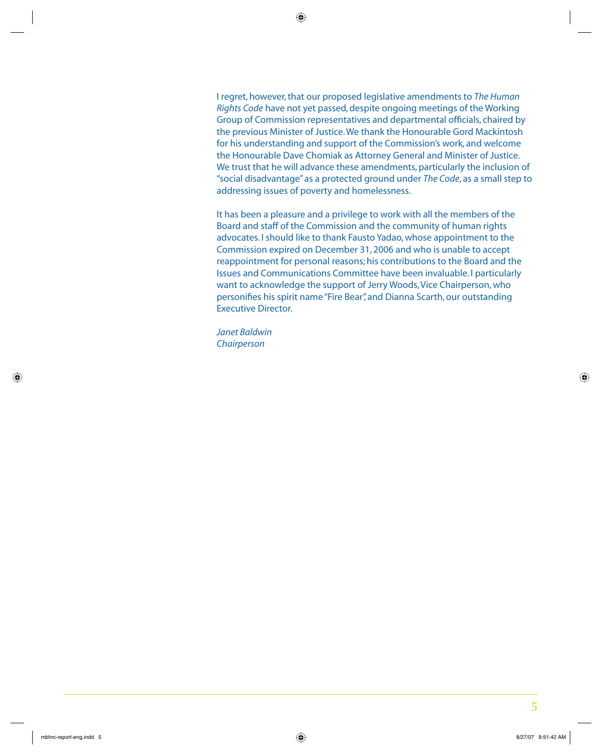I regret, however, that our proposed legislative amendments to *The Human Rights Code* have not yet passed, despite ongoing meetings of the Working Group of Commission representatives and departmental officials, chaired by the previous Minister of Justice. We thank the Honourable Gord Mackintosh for his understanding and support of the Commission's work, and welcome the Honourable Dave Chomiak as Attorney General and Minister of Justice. We trust that he will advance these amendments, particularly the inclusion of "social disadvantage" as a protected ground under *The Code*, as a small step to addressing issues of poverty and homelessness.

It has been a pleasure and a privilege to work with all the members of the Board and staff of the Commission and the community of human rights advocates. I should like to thank Fausto Yadao, whose appointment to the Commission expired on December 31, 2006 and who is unable to accept reappointment for personal reasons; his contributions to the Board and the Issues and Communications Committee have been invaluable. I particularly want to acknowledge the support of Jerry Woods, Vice Chairperson, who personifies his spirit name "Fire Bear", and Dianna Scarth, our outstanding Executive Director.

*Janet Baldwin Chairperson*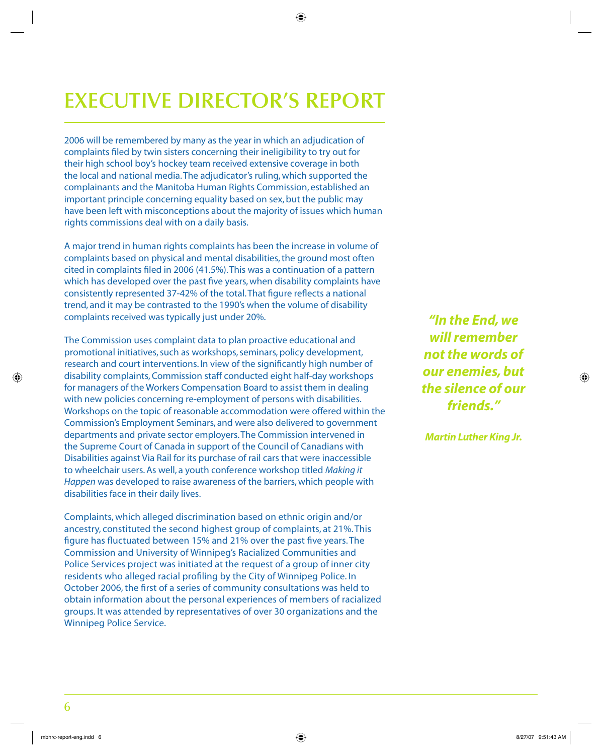# **EXECUTIVE DIRECTOR'S REPORT**

2006 will be remembered by many as the year in which an adjudication of complaints filed by twin sisters concerning their ineligibility to try out for their high school boy's hockey team received extensive coverage in both the local and national media. The adjudicator's ruling, which supported the complainants and the Manitoba Human Rights Commission, established an important principle concerning equality based on sex, but the public may have been left with misconceptions about the majority of issues which human rights commissions deal with on a daily basis.

A major trend in human rights complaints has been the increase in volume of complaints based on physical and mental disabilities, the ground most often cited in complaints filed in 2006 (41.5%). This was a continuation of a pattern which has developed over the past five years, when disability complaints have consistently represented 37-42% of the total. That figure reflects a national trend, and it may be contrasted to the 1990's when the volume of disability complaints received was typically just under 20%.

The Commission uses complaint data to plan proactive educational and promotional initiatives, such as workshops, seminars, policy development, research and court interventions. In view of the significantly high number of disability complaints, Commission staff conducted eight half-day workshops for managers of the Workers Compensation Board to assist them in dealing with new policies concerning re-employment of persons with disabilities. Workshops on the topic of reasonable accommodation were offered within the Commission's Employment Seminars, and were also delivered to government departments and private sector employers. The Commission intervened in the Supreme Court of Canada in support of the Council of Canadians with Disabilities against Via Rail for its purchase of rail cars that were inaccessible to wheelchair users. As well, a youth conference workshop titled *Making it Happen* was developed to raise awareness of the barriers, which people with disabilities face in their daily lives.

Complaints, which alleged discrimination based on ethnic origin and/or ancestry, constituted the second highest group of complaints, at 21%. This figure has fluctuated between 15% and 21% over the past five years. The Commission and University of Winnipeg's Racialized Communities and Police Services project was initiated at the request of a group of inner city residents who alleged racial profiling by the City of Winnipeg Police. In October 2006, the first of a series of community consultations was held to obtain information about the personal experiences of members of racialized groups. It was attended by representatives of over 30 organizations and the Winnipeg Police Service.

*"In the End, we will remember not the words of our enemies, but the silence of our friends."*

*Martin Luther King Jr.*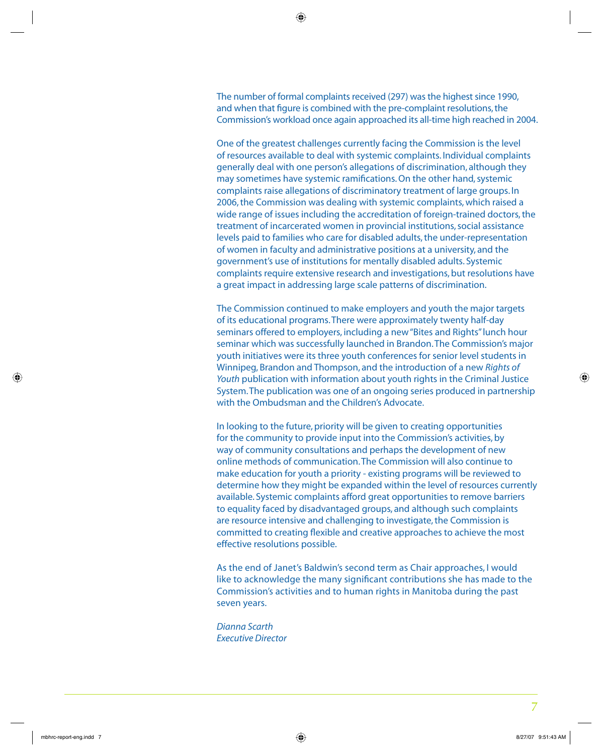The number of formal complaints received (297) was the highest since 1990, and when that figure is combined with the pre-complaint resolutions, the Commission's workload once again approached its all-time high reached in 2004.

One of the greatest challenges currently facing the Commission is the level of resources available to deal with systemic complaints. Individual complaints generally deal with one person's allegations of discrimination, although they may sometimes have systemic ramifications. On the other hand, systemic complaints raise allegations of discriminatory treatment of large groups. In 2006, the Commission was dealing with systemic complaints, which raised a wide range of issues including the accreditation of foreign-trained doctors, the treatment of incarcerated women in provincial institutions, social assistance levels paid to families who care for disabled adults, the under-representation of women in faculty and administrative positions at a university, and the government's use of institutions for mentally disabled adults. Systemic complaints require extensive research and investigations, but resolutions have a great impact in addressing large scale patterns of discrimination.

The Commission continued to make employers and youth the major targets of its educational programs. There were approximately twenty half-day seminars offered to employers, including a new "Bites and Rights" lunch hour seminar which was successfully launched in Brandon. The Commission's major youth initiatives were its three youth conferences for senior level students in Winnipeg, Brandon and Thompson, and the introduction of a new *Rights of Youth* publication with information about youth rights in the Criminal Justice System. The publication was one of an ongoing series produced in partnership with the Ombudsman and the Children's Advocate.

In looking to the future, priority will be given to creating opportunities for the community to provide input into the Commission's activities, by way of community consultations and perhaps the development of new online methods of communication. The Commission will also continue to make education for youth a priority - existing programs will be reviewed to determine how they might be expanded within the level of resources currently available. Systemic complaints afford great opportunities to remove barriers to equality faced by disadvantaged groups, and although such complaints are resource intensive and challenging to investigate, the Commission is committed to creating flexible and creative approaches to achieve the most effective resolutions possible.

As the end of Janet's Baldwin's second term as Chair approaches, I would like to acknowledge the many significant contributions she has made to the Commission's activities and to human rights in Manitoba during the past seven years.

*Dianna Scarth Executive Director*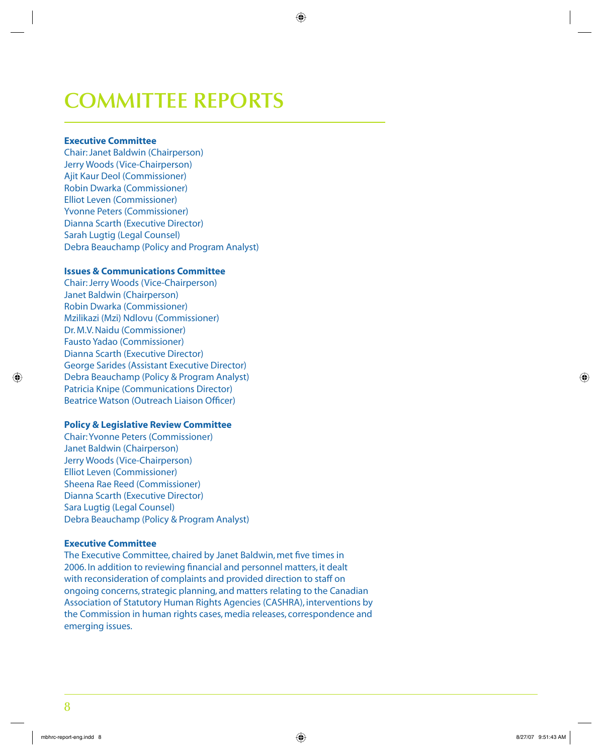# **COMMITTEE REPORTS**

#### **Executive Committee**

Chair: Janet Baldwin (Chairperson) Jerry Woods (Vice-Chairperson) Ajit Kaur Deol (Commissioner) Robin Dwarka (Commissioner) Elliot Leven (Commissioner) Yvonne Peters (Commissioner) Dianna Scarth (Executive Director) Sarah Lugtig (Legal Counsel) Debra Beauchamp (Policy and Program Analyst)

#### **Issues & Communications Committee**

Chair: Jerry Woods (Vice-Chairperson) Janet Baldwin (Chairperson) Robin Dwarka (Commissioner) Mzilikazi (Mzi) Ndlovu (Commissioner) Dr. M.V. Naidu (Commissioner) Fausto Yadao (Commissioner) Dianna Scarth (Executive Director) George Sarides (Assistant Executive Director) Debra Beauchamp (Policy & Program Analyst) Patricia Knipe (Communications Director) Beatrice Watson (Outreach Liaison Officer)

#### **Policy & Legislative Review Committee**

Chair: Yvonne Peters (Commissioner) Janet Baldwin (Chairperson) Jerry Woods (Vice-Chairperson) Elliot Leven (Commissioner) Sheena Rae Reed (Commissioner) Dianna Scarth (Executive Director) Sara Lugtig (Legal Counsel) Debra Beauchamp (Policy & Program Analyst)

#### **Executive Committee**

The Executive Committee, chaired by Janet Baldwin, met five times in 2006. In addition to reviewing financial and personnel matters, it dealt with reconsideration of complaints and provided direction to staff on ongoing concerns, strategic planning, and matters relating to the Canadian Association of Statutory Human Rights Agencies (CASHRA), interventions by the Commission in human rights cases, media releases, correspondence and emerging issues.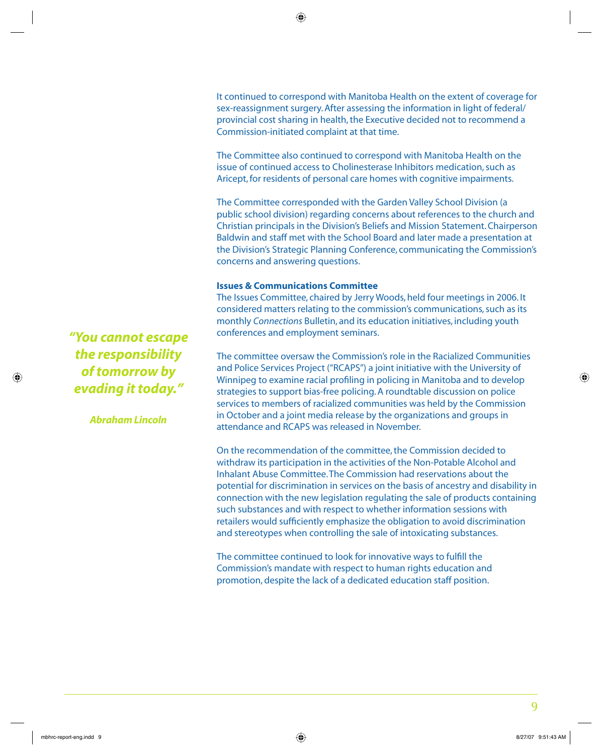It continued to correspond with Manitoba Health on the extent of coverage for sex-reassignment surgery. After assessing the information in light of federal/ provincial cost sharing in health, the Executive decided not to recommend a Commission-initiated complaint at that time.

The Committee also continued to correspond with Manitoba Health on the issue of continued access to Cholinesterase Inhibitors medication, such as Aricept, for residents of personal care homes with cognitive impairments.

The Committee corresponded with the Garden Valley School Division (a public school division) regarding concerns about references to the church and Christian principals in the Division's Beliefs and Mission Statement. Chairperson Baldwin and staff met with the School Board and later made a presentation at the Division's Strategic Planning Conference, communicating the Commission's concerns and answering questions.

#### **Issues & Communications Committee**

The Issues Committee, chaired by Jerry Woods, held four meetings in 2006. It considered matters relating to the commission's communications, such as its monthly *Connections* Bulletin, and its education initiatives, including youth conferences and employment seminars.

The committee oversaw the Commission's role in the Racialized Communities and Police Services Project ("RCAPS") a joint initiative with the University of Winnipeg to examine racial profiling in policing in Manitoba and to develop strategies to support bias-free policing. A roundtable discussion on police services to members of racialized communities was held by the Commission in October and a joint media release by the organizations and groups in attendance and RCAPS was released in November.

On the recommendation of the committee, the Commission decided to withdraw its participation in the activities of the Non-Potable Alcohol and Inhalant Abuse Committee. The Commission had reservations about the potential for discrimination in services on the basis of ancestry and disability in connection with the new legislation regulating the sale of products containing such substances and with respect to whether information sessions with retailers would sufficiently emphasize the obligation to avoid discrimination and stereotypes when controlling the sale of intoxicating substances.

The committee continued to look for innovative ways to fulfill the Commission's mandate with respect to human rights education and promotion, despite the lack of a dedicated education staff position.

*"You cannot escape the responsibility of tomorrow by evading it today."*

*Abraham Lincoln*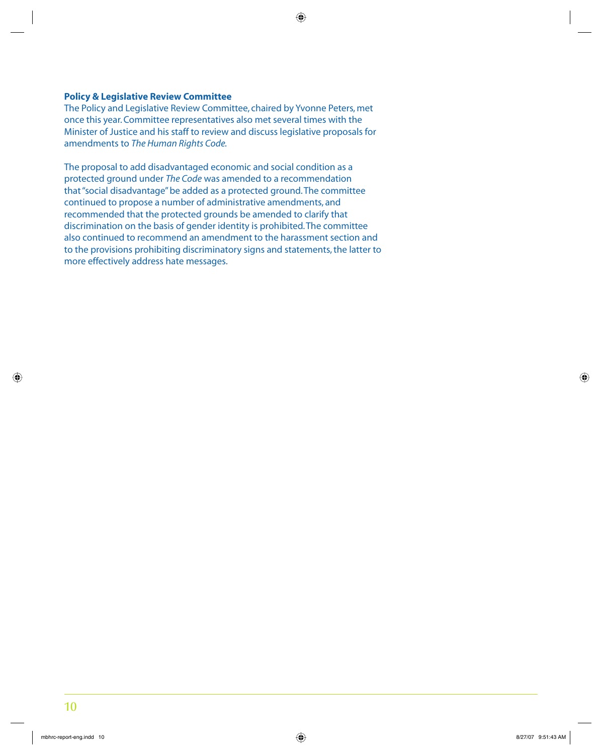#### **Policy & Legislative Review Committee**

The Policy and Legislative Review Committee, chaired by Yvonne Peters, met once this year. Committee representatives also met several times with the Minister of Justice and his staff to review and discuss legislative proposals for amendments to *The Human Rights Code.* 

The proposal to add disadvantaged economic and social condition as a protected ground under *The Code* was amended to a recommendation that "social disadvantage" be added as a protected ground. The committee continued to propose a number of administrative amendments, and recommended that the protected grounds be amended to clarify that discrimination on the basis of gender identity is prohibited. The committee also continued to recommend an amendment to the harassment section and to the provisions prohibiting discriminatory signs and statements, the latter to more effectively address hate messages.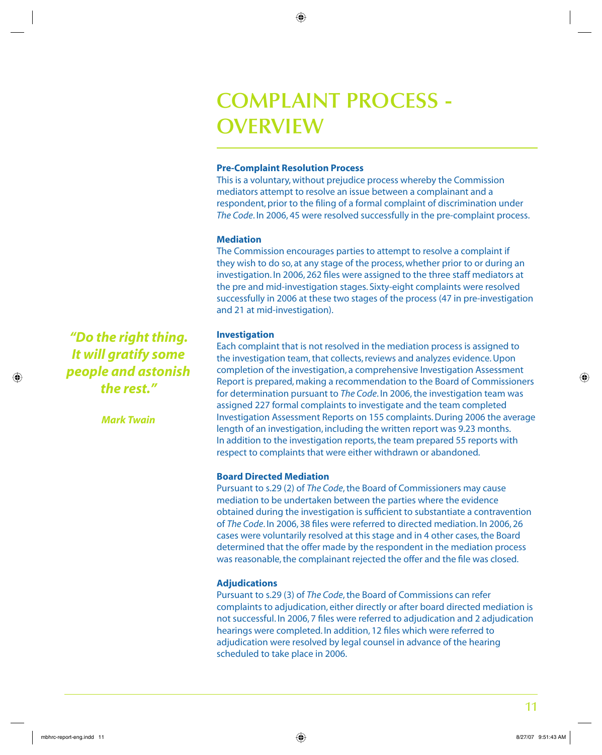## **COMPLAINT PROCESS - OVERVIEW**

#### **Pre-Complaint Resolution Process**

This is a voluntary, without prejudice process whereby the Commission mediators attempt to resolve an issue between a complainant and a respondent, prior to the filing of a formal complaint of discrimination under *The Code*. In 2006, 45 were resolved successfully in the pre-complaint process.

#### **Mediation**

The Commission encourages parties to attempt to resolve a complaint if they wish to do so, at any stage of the process, whether prior to or during an investigation. In 2006, 262 files were assigned to the three staff mediators at the pre and mid-investigation stages. Sixty-eight complaints were resolved successfully in 2006 at these two stages of the process (47 in pre-investigation and 21 at mid-investigation).

#### **Investigation**

Each complaint that is not resolved in the mediation process is assigned to the investigation team, that collects, reviews and analyzes evidence. Upon completion of the investigation, a comprehensive Investigation Assessment Report is prepared, making a recommendation to the Board of Commissioners for determination pursuant to *The Code*. In 2006, the investigation team was assigned 227 formal complaints to investigate and the team completed Investigation Assessment Reports on 155 complaints. During 2006 the average length of an investigation, including the written report was 9.23 months. In addition to the investigation reports, the team prepared 55 reports with respect to complaints that were either withdrawn or abandoned.

#### **Board Directed Mediation**

Pursuant to s.29 (2) of *The Code*, the Board of Commissioners may cause mediation to be undertaken between the parties where the evidence obtained during the investigation is sufficient to substantiate a contravention of *The Code*. In 2006, 38 files were referred to directed mediation. In 2006, 26 cases were voluntarily resolved at this stage and in 4 other cases, the Board determined that the offer made by the respondent in the mediation process was reasonable, the complainant rejected the offer and the file was closed.

#### **Adjudications**

Pursuant to s.29 (3) of *The Code*, the Board of Commissions can refer complaints to adjudication, either directly or after board directed mediation is not successful. In 2006, 7 files were referred to adjudication and 2 adjudication hearings were completed. In addition, 12 files which were referred to adjudication were resolved by legal counsel in advance of the hearing scheduled to take place in 2006.

*"Do the right thing. It will gratify some people and astonish the rest."* 

*Mark Twain*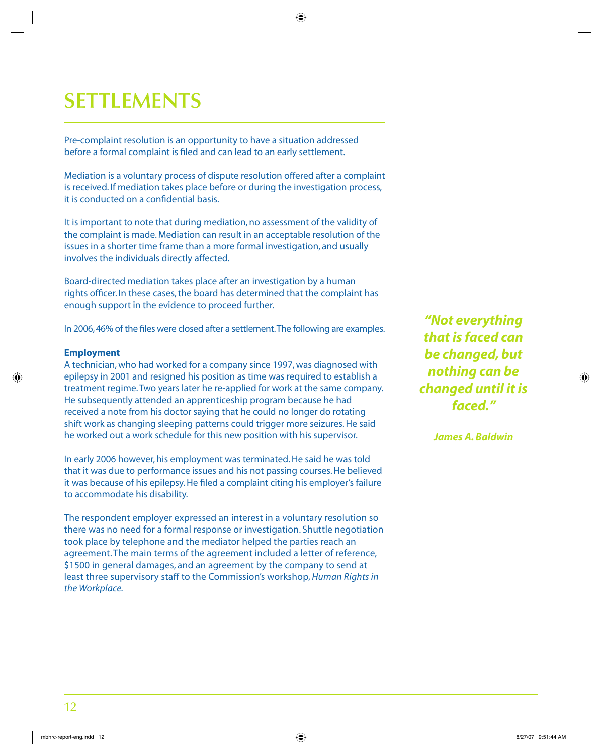# **SETTLEMENTS**

Pre-complaint resolution is an opportunity to have a situation addressed before a formal complaint is filed and can lead to an early settlement.

Mediation is a voluntary process of dispute resolution offered after a complaint is received. If mediation takes place before or during the investigation process, it is conducted on a confidential basis.

It is important to note that during mediation, no assessment of the validity of the complaint is made. Mediation can result in an acceptable resolution of the issues in a shorter time frame than a more formal investigation, and usually involves the individuals directly affected.

Board-directed mediation takes place after an investigation by a human rights officer. In these cases, the board has determined that the complaint has enough support in the evidence to proceed further.

In 2006, 46% of the files were closed after a settlement. The following are examples.

#### **Employment**

A technician, who had worked for a company since 1997, was diagnosed with epilepsy in 2001 and resigned his position as time was required to establish a treatment regime. Two years later he re-applied for work at the same company. He subsequently attended an apprenticeship program because he had received a note from his doctor saying that he could no longer do rotating shift work as changing sleeping patterns could trigger more seizures. He said he worked out a work schedule for this new position with his supervisor.

In early 2006 however, his employment was terminated. He said he was told that it was due to performance issues and his not passing courses. He believed it was because of his epilepsy. He filed a complaint citing his employer's failure to accommodate his disability.

The respondent employer expressed an interest in a voluntary resolution so there was no need for a formal response or investigation. Shuttle negotiation took place by telephone and the mediator helped the parties reach an agreement. The main terms of the agreement included a letter of reference, \$1500 in general damages, and an agreement by the company to send at least three supervisory staff to the Commission's workshop, *Human Rights in the Workplace.* 

*"Not everything that is faced can be changed, but nothing can be changed until it is faced."*

*James A. Baldwin*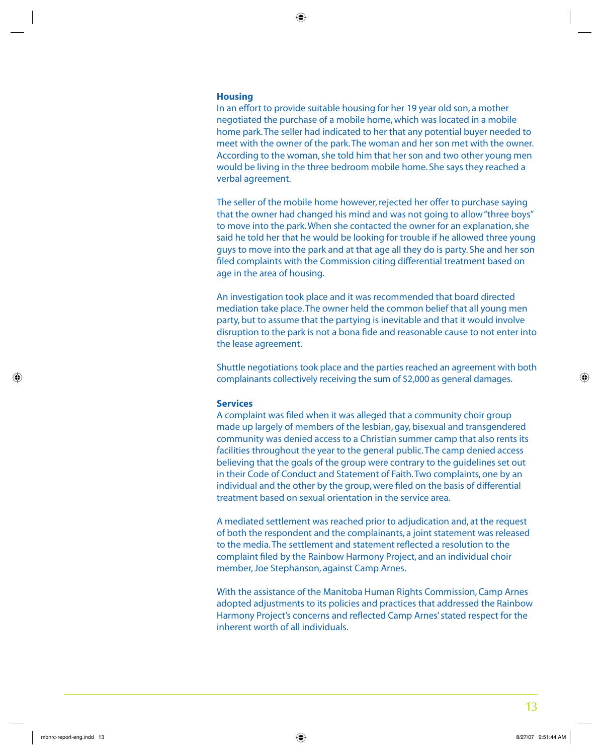#### **Housing**

In an effort to provide suitable housing for her 19 year old son, a mother negotiated the purchase of a mobile home, which was located in a mobile home park. The seller had indicated to her that any potential buyer needed to meet with the owner of the park. The woman and her son met with the owner. According to the woman, she told him that her son and two other young men would be living in the three bedroom mobile home. She says they reached a verbal agreement.

The seller of the mobile home however, rejected her offer to purchase saying that the owner had changed his mind and was not going to allow "three boys" to move into the park. When she contacted the owner for an explanation, she said he told her that he would be looking for trouble if he allowed three young guys to move into the park and at that age all they do is party. She and her son filed complaints with the Commission citing differential treatment based on age in the area of housing.

An investigation took place and it was recommended that board directed mediation take place. The owner held the common belief that all young men party, but to assume that the partying is inevitable and that it would involve disruption to the park is not a bona fide and reasonable cause to not enter into the lease agreement.

Shuttle negotiations took place and the parties reached an agreement with both complainants collectively receiving the sum of \$2,000 as general damages.

#### **Services**

A complaint was filed when it was alleged that a community choir group made up largely of members of the lesbian, gay, bisexual and transgendered community was denied access to a Christian summer camp that also rents its facilities throughout the year to the general public. The camp denied access believing that the goals of the group were contrary to the guidelines set out in their Code of Conduct and Statement of Faith. Two complaints, one by an individual and the other by the group, were filed on the basis of differential treatment based on sexual orientation in the service area.

A mediated settlement was reached prior to adjudication and, at the request of both the respondent and the complainants, a joint statement was released to the media. The settlement and statement reflected a resolution to the complaint filed by the Rainbow Harmony Project, and an individual choir member, Joe Stephanson, against Camp Arnes.

With the assistance of the Manitoba Human Rights Commission, Camp Arnes adopted adjustments to its policies and practices that addressed the Rainbow Harmony Project's concerns and reflected Camp Arnes' stated respect for the inherent worth of all individuals.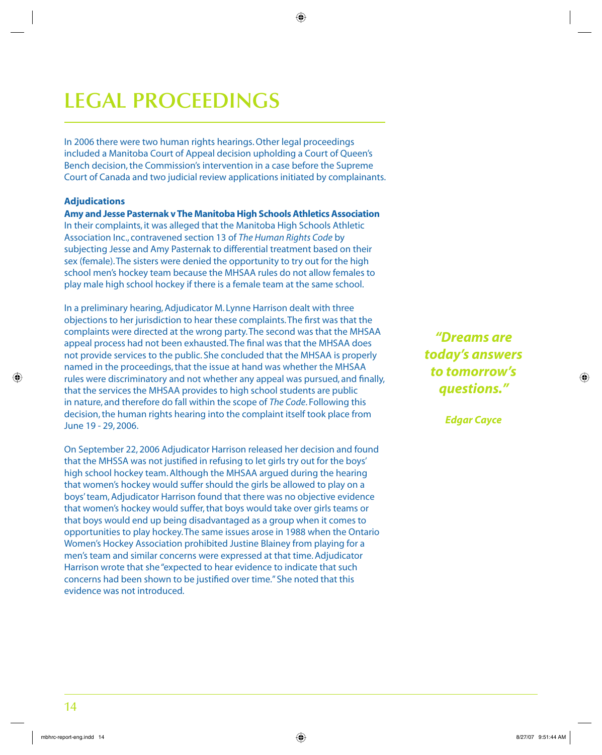# **LEGAL PROCEEDINGS**

In 2006 there were two human rights hearings. Other legal proceedings included a Manitoba Court of Appeal decision upholding a Court of Queen's Bench decision, the Commission's intervention in a case before the Supreme Court of Canada and two judicial review applications initiated by complainants.

#### **Adjudications**

**Amy and Jesse Pasternak v The Manitoba High Schools Athletics Association** In their complaints, it was alleged that the Manitoba High Schools Athletic Association Inc., contravened section 13 of *The Human Rights Code* by subjecting Jesse and Amy Pasternak to differential treatment based on their sex (female). The sisters were denied the opportunity to try out for the high school men's hockey team because the MHSAA rules do not allow females to play male high school hockey if there is a female team at the same school.

In a preliminary hearing, Adjudicator M. Lynne Harrison dealt with three objections to her jurisdiction to hear these complaints. The first was that the complaints were directed at the wrong party. The second was that the MHSAA appeal process had not been exhausted. The final was that the MHSAA does not provide services to the public. She concluded that the MHSAA is properly named in the proceedings, that the issue at hand was whether the MHSAA rules were discriminatory and not whether any appeal was pursued, and finally, that the services the MHSAA provides to high school students are public in nature, and therefore do fall within the scope of *The Code*. Following this decision, the human rights hearing into the complaint itself took place from June 19 - 29, 2006.

On September 22, 2006 Adjudicator Harrison released her decision and found that the MHSSA was not justified in refusing to let girls try out for the boys' high school hockey team. Although the MHSAA argued during the hearing that women's hockey would suffer should the girls be allowed to play on a boys' team, Adjudicator Harrison found that there was no objective evidence that women's hockey would suffer, that boys would take over girls teams or that boys would end up being disadvantaged as a group when it comes to opportunities to play hockey. The same issues arose in 1988 when the Ontario Women's Hockey Association prohibited Justine Blainey from playing for a men's team and similar concerns were expressed at that time. Adjudicator Harrison wrote that she "expected to hear evidence to indicate that such concerns had been shown to be justified over time." She noted that this evidence was not introduced.

*"Dreams are today's answers to tomorrow's questions."* 

*Edgar Cayce*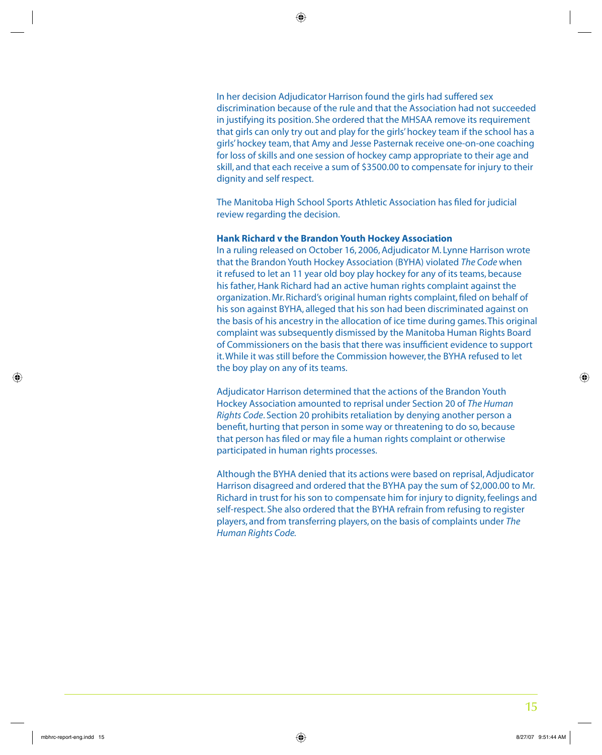In her decision Adjudicator Harrison found the girls had suffered sex discrimination because of the rule and that the Association had not succeeded in justifying its position. She ordered that the MHSAA remove its requirement that girls can only try out and play for the girls' hockey team if the school has a girls' hockey team, that Amy and Jesse Pasternak receive one-on-one coaching for loss of skills and one session of hockey camp appropriate to their age and skill, and that each receive a sum of \$3500.00 to compensate for injury to their dignity and self respect.

The Manitoba High School Sports Athletic Association has filed for judicial review regarding the decision.

#### **Hank Richard v the Brandon Youth Hockey Association**

In a ruling released on October 16, 2006, Adjudicator M. Lynne Harrison wrote that the Brandon Youth Hockey Association (BYHA) violated *The Code* when it refused to let an 11 year old boy play hockey for any of its teams, because his father, Hank Richard had an active human rights complaint against the organization. Mr. Richard's original human rights complaint, filed on behalf of his son against BYHA, alleged that his son had been discriminated against on the basis of his ancestry in the allocation of ice time during games. This original complaint was subsequently dismissed by the Manitoba Human Rights Board of Commissioners on the basis that there was insufficient evidence to support it. While it was still before the Commission however, the BYHA refused to let the boy play on any of its teams.

Adjudicator Harrison determined that the actions of the Brandon Youth Hockey Association amounted to reprisal under Section 20 of *The Human Rights Code*. Section 20 prohibits retaliation by denying another person a benefit, hurting that person in some way or threatening to do so, because that person has filed or may file a human rights complaint or otherwise participated in human rights processes.

Although the BYHA denied that its actions were based on reprisal, Adjudicator Harrison disagreed and ordered that the BYHA pay the sum of \$2,000.00 to Mr. Richard in trust for his son to compensate him for injury to dignity, feelings and self-respect. She also ordered that the BYHA refrain from refusing to register players, and from transferring players, on the basis of complaints under *The Human Rights Code.*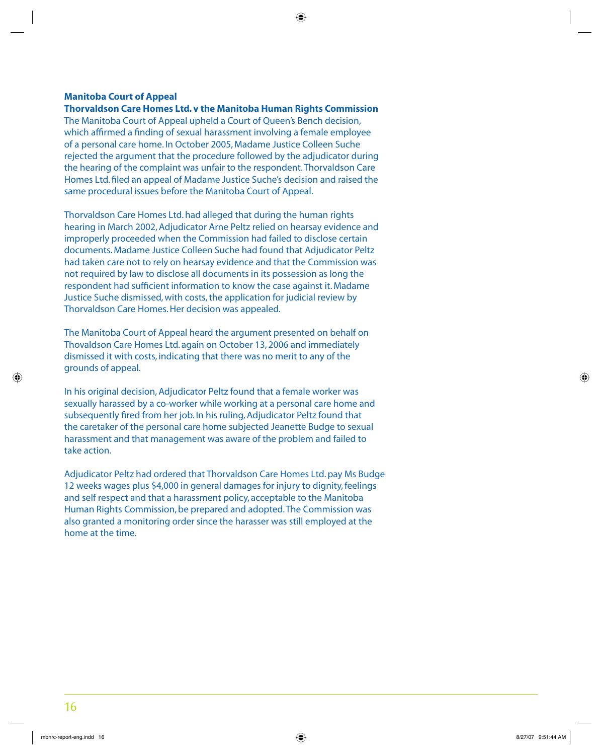#### **Manitoba Court of Appeal**

**Thorvaldson Care Homes Ltd. v the Manitoba Human Rights Commission**  The Manitoba Court of Appeal upheld a Court of Queen's Bench decision, which affirmed a finding of sexual harassment involving a female employee of a personal care home. In October 2005, Madame Justice Colleen Suche rejected the argument that the procedure followed by the adjudicator during the hearing of the complaint was unfair to the respondent. Thorvaldson Care Homes Ltd. filed an appeal of Madame Justice Suche's decision and raised the same procedural issues before the Manitoba Court of Appeal.

Thorvaldson Care Homes Ltd. had alleged that during the human rights hearing in March 2002, Adjudicator Arne Peltz relied on hearsay evidence and improperly proceeded when the Commission had failed to disclose certain documents. Madame Justice Colleen Suche had found that Adjudicator Peltz had taken care not to rely on hearsay evidence and that the Commission was not required by law to disclose all documents in its possession as long the respondent had sufficient information to know the case against it. Madame Justice Suche dismissed, with costs, the application for judicial review by Thorvaldson Care Homes. Her decision was appealed.

The Manitoba Court of Appeal heard the argument presented on behalf on Thovaldson Care Homes Ltd. again on October 13, 2006 and immediately dismissed it with costs, indicating that there was no merit to any of the grounds of appeal.

In his original decision, Adjudicator Peltz found that a female worker was sexually harassed by a co-worker while working at a personal care home and subsequently fired from her job. In his ruling, Adjudicator Peltz found that the caretaker of the personal care home subjected Jeanette Budge to sexual harassment and that management was aware of the problem and failed to take action.

Adjudicator Peltz had ordered that Thorvaldson Care Homes Ltd. pay Ms Budge 12 weeks wages plus \$4,000 in general damages for injury to dignity, feelings and self respect and that a harassment policy, acceptable to the Manitoba Human Rights Commission, be prepared and adopted. The Commission was also granted a monitoring order since the harasser was still employed at the home at the time.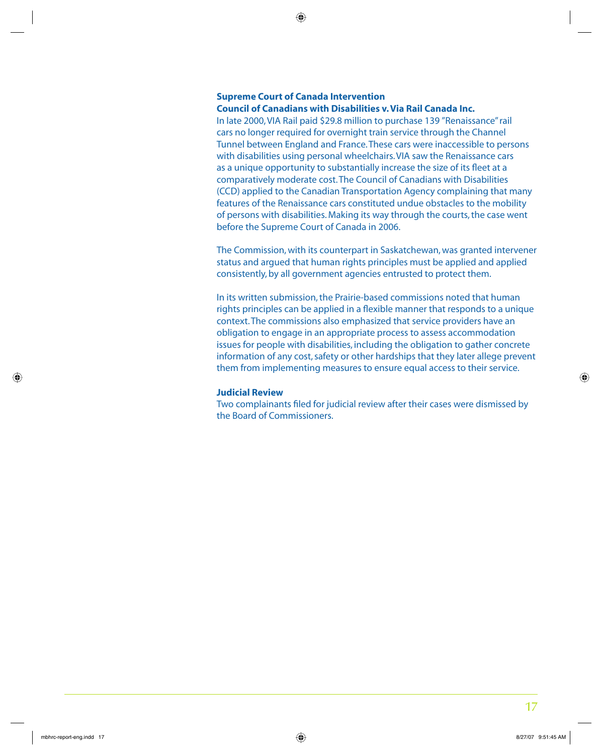### **Supreme Court of Canada Intervention**

#### **Council of Canadians with Disabilities v. Via Rail Canada Inc.**

In late 2000, VIA Rail paid \$29.8 million to purchase 139 "Renaissance" rail cars no longer required for overnight train service through the Channel Tunnel between England and France. These cars were inaccessible to persons with disabilities using personal wheelchairs. VIA saw the Renaissance cars as a unique opportunity to substantially increase the size of its fleet at a comparatively moderate cost. The Council of Canadians with Disabilities (CCD) applied to the Canadian Transportation Agency complaining that many features of the Renaissance cars constituted undue obstacles to the mobility of persons with disabilities. Making its way through the courts, the case went before the Supreme Court of Canada in 2006.

The Commission, with its counterpart in Saskatchewan, was granted intervener status and argued that human rights principles must be applied and applied consistently, by all government agencies entrusted to protect them.

In its written submission, the Prairie-based commissions noted that human rights principles can be applied in a flexible manner that responds to a unique context. The commissions also emphasized that service providers have an obligation to engage in an appropriate process to assess accommodation issues for people with disabilities, including the obligation to gather concrete information of any cost, safety or other hardships that they later allege prevent them from implementing measures to ensure equal access to their service.

#### **Judicial Review**

Two complainants filed for judicial review after their cases were dismissed by the Board of Commissioners.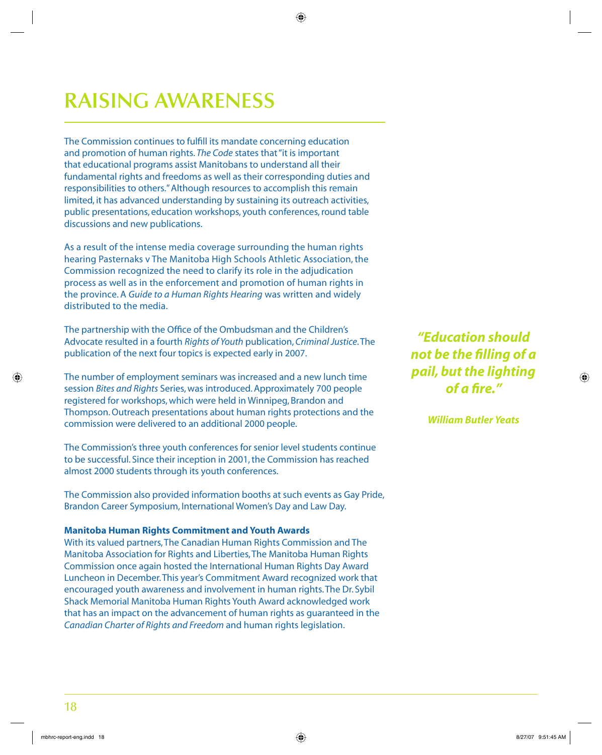# **RAISING AWARENESS**

The Commission continues to fulfill its mandate concerning education and promotion of human rights. *The Code* states that "it is important that educational programs assist Manitobans to understand all their fundamental rights and freedoms as well as their corresponding duties and responsibilities to others." Although resources to accomplish this remain limited, it has advanced understanding by sustaining its outreach activities, public presentations, education workshops, youth conferences, round table discussions and new publications.

As a result of the intense media coverage surrounding the human rights hearing Pasternaks v The Manitoba High Schools Athletic Association, the Commission recognized the need to clarify its role in the adjudication process as well as in the enforcement and promotion of human rights in the province. A *Guide to a Human Rights Hearing* was written and widely distributed to the media.

The partnership with the Office of the Ombudsman and the Children's Advocate resulted in a fourth *Rights of Youth* publication, *Criminal Justice*. The publication of the next four topics is expected early in 2007.

The number of employment seminars was increased and a new lunch time session *Bites and Rights* Series, was introduced. Approximately 700 people registered for workshops, which were held in Winnipeg, Brandon and Thompson. Outreach presentations about human rights protections and the commission were delivered to an additional 2000 people.

The Commission's three youth conferences for senior level students continue to be successful. Since their inception in 2001, the Commission has reached almost 2000 students through its youth conferences.

The Commission also provided information booths at such events as Gay Pride, Brandon Career Symposium, International Women's Day and Law Day.

#### **Manitoba Human Rights Commitment and Youth Awards**

With its valued partners, The Canadian Human Rights Commission and The Manitoba Association for Rights and Liberties, The Manitoba Human Rights Commission once again hosted the International Human Rights Day Award Luncheon in December. This year's Commitment Award recognized work that encouraged youth awareness and involvement in human rights. The Dr. Sybil Shack Memorial Manitoba Human Rights Youth Award acknowledged work that has an impact on the advancement of human rights as guaranteed in the *Canadian Charter of Rights and Freedom* and human rights legislation.

*"Education should not be the fi lling of a pail, but the lighting of a fi re."* 

*William Butler Yeats*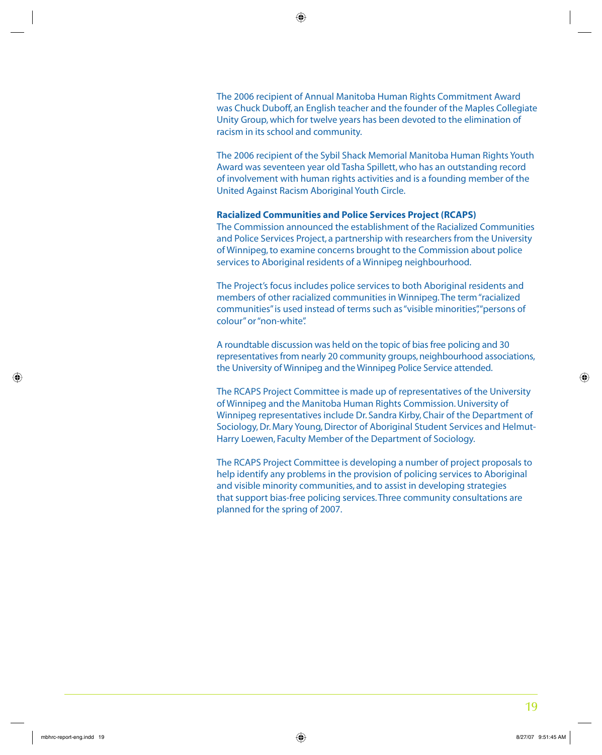The 2006 recipient of Annual Manitoba Human Rights Commitment Award was Chuck Duboff, an English teacher and the founder of the Maples Collegiate Unity Group, which for twelve years has been devoted to the elimination of racism in its school and community.

The 2006 recipient of the Sybil Shack Memorial Manitoba Human Rights Youth Award was seventeen year old Tasha Spillett, who has an outstanding record of involvement with human rights activities and is a founding member of the United Against Racism Aboriginal Youth Circle.

#### **Racialized Communities and Police Services Project (RCAPS)**

The Commission announced the establishment of the Racialized Communities and Police Services Project, a partnership with researchers from the University of Winnipeg, to examine concerns brought to the Commission about police services to Aboriginal residents of a Winnipeg neighbourhood.

The Project's focus includes police services to both Aboriginal residents and members of other racialized communities in Winnipeg. The term "racialized communities" is used instead of terms such as "visible minorities", "persons of colour" or "non-white".

A roundtable discussion was held on the topic of bias free policing and 30 representatives from nearly 20 community groups, neighbourhood associations, the University of Winnipeg and the Winnipeg Police Service attended.

The RCAPS Project Committee is made up of representatives of the University of Winnipeg and the Manitoba Human Rights Commission. University of Winnipeg representatives include Dr. Sandra Kirby, Chair of the Department of Sociology, Dr. Mary Young, Director of Aboriginal Student Services and Helmut-Harry Loewen, Faculty Member of the Department of Sociology.

The RCAPS Project Committee is developing a number of project proposals to help identify any problems in the provision of policing services to Aboriginal and visible minority communities, and to assist in developing strategies that support bias-free policing services. Three community consultations are planned for the spring of 2007.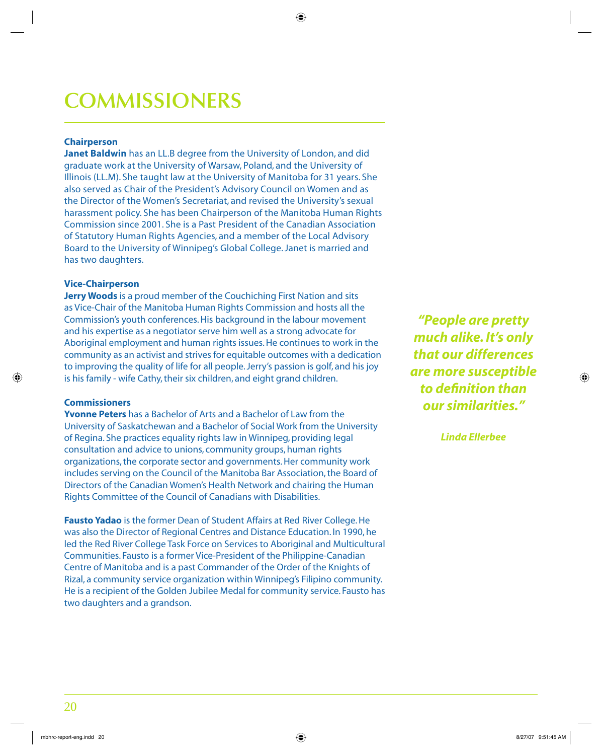# **COMMISSIONERS**

#### **Chairperson**

**Janet Baldwin** has an LL.B degree from the University of London, and did graduate work at the University of Warsaw, Poland, and the University of Illinois (LL.M). She taught law at the University of Manitoba for 31 years. She also served as Chair of the President's Advisory Council on Women and as the Director of the Women's Secretariat, and revised the University's sexual harassment policy. She has been Chairperson of the Manitoba Human Rights Commission since 2001. She is a Past President of the Canadian Association of Statutory Human Rights Agencies, and a member of the Local Advisory Board to the University of Winnipeg's Global College. Janet is married and has two daughters.

#### **Vice-Chairperson**

**Jerry Woods** is a proud member of the Couchiching First Nation and sits as Vice-Chair of the Manitoba Human Rights Commission and hosts all the Commission's youth conferences. His background in the labour movement and his expertise as a negotiator serve him well as a strong advocate for Aboriginal employment and human rights issues. He continues to work in the community as an activist and strives for equitable outcomes with a dedication to improving the quality of life for all people. Jerry's passion is golf, and his joy is his family - wife Cathy, their six children, and eight grand children.

#### **Commissioners**

**Yvonne Peters** has a Bachelor of Arts and a Bachelor of Law from the University of Saskatchewan and a Bachelor of Social Work from the University of Regina. She practices equality rights law in Winnipeg, providing legal consultation and advice to unions, community groups, human rights organizations, the corporate sector and governments. Her community work includes serving on the Council of the Manitoba Bar Association, the Board of Directors of the Canadian Women's Health Network and chairing the Human Rights Committee of the Council of Canadians with Disabilities.

**Fausto Yadao** is the former Dean of Student Affairs at Red River College. He was also the Director of Regional Centres and Distance Education. In 1990, he led the Red River College Task Force on Services to Aboriginal and Multicultural Communities. Fausto is a former Vice-President of the Philippine-Canadian Centre of Manitoba and is a past Commander of the Order of the Knights of Rizal, a community service organization within Winnipeg's Filipino community. He is a recipient of the Golden Jubilee Medal for community service. Fausto has two daughters and a grandson.

*"People are pretty much alike. It's only that our differences are more susceptible to defi nition than our similarities."* 

*Linda Ellerbee*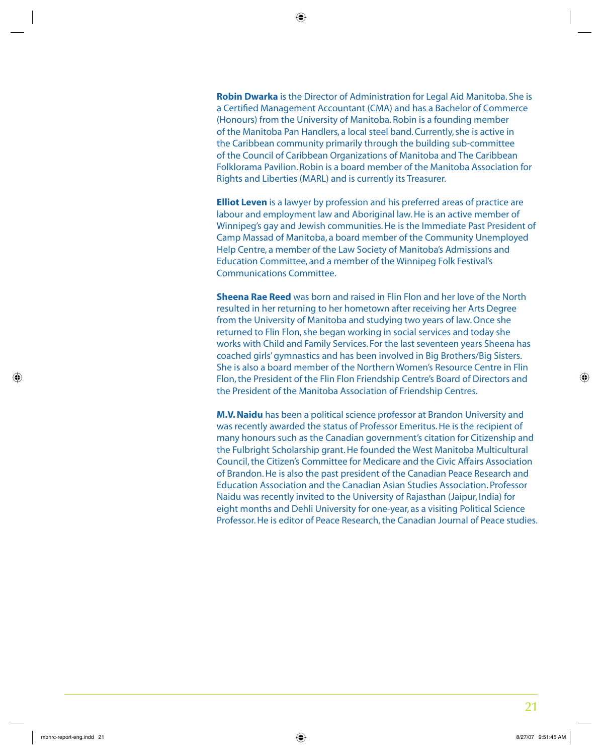**Robin Dwarka** is the Director of Administration for Legal Aid Manitoba. She is a Certified Management Accountant (CMA) and has a Bachelor of Commerce (Honours) from the University of Manitoba. Robin is a founding member of the Manitoba Pan Handlers, a local steel band. Currently, she is active in the Caribbean community primarily through the building sub-committee of the Council of Caribbean Organizations of Manitoba and The Caribbean Folklorama Pavilion. Robin is a board member of the Manitoba Association for Rights and Liberties (MARL) and is currently its Treasurer.

**Elliot Leven** is a lawyer by profession and his preferred areas of practice are labour and employment law and Aboriginal law. He is an active member of Winnipeg's gay and Jewish communities. He is the Immediate Past President of Camp Massad of Manitoba, a board member of the Community Unemployed Help Centre, a member of the Law Society of Manitoba's Admissions and Education Committee, and a member of the Winnipeg Folk Festival's Communications Committee.

**Sheena Rae Reed** was born and raised in Flin Flon and her love of the North resulted in her returning to her hometown after receiving her Arts Degree from the University of Manitoba and studying two years of law. Once she returned to Flin Flon, she began working in social services and today she works with Child and Family Services. For the last seventeen years Sheena has coached girls' gymnastics and has been involved in Big Brothers/Big Sisters. She is also a board member of the Northern Women's Resource Centre in Flin Flon, the President of the Flin Flon Friendship Centre's Board of Directors and the President of the Manitoba Association of Friendship Centres.

**M.V. Naidu** has been a political science professor at Brandon University and was recently awarded the status of Professor Emeritus. He is the recipient of many honours such as the Canadian government's citation for Citizenship and the Fulbright Scholarship grant. He founded the West Manitoba Multicultural Council, the Citizen's Committee for Medicare and the Civic Affairs Association of Brandon. He is also the past president of the Canadian Peace Research and Education Association and the Canadian Asian Studies Association. Professor Naidu was recently invited to the University of Rajasthan (Jaipur, India) for eight months and Dehli University for one-year, as a visiting Political Science Professor. He is editor of Peace Research, the Canadian Journal of Peace studies.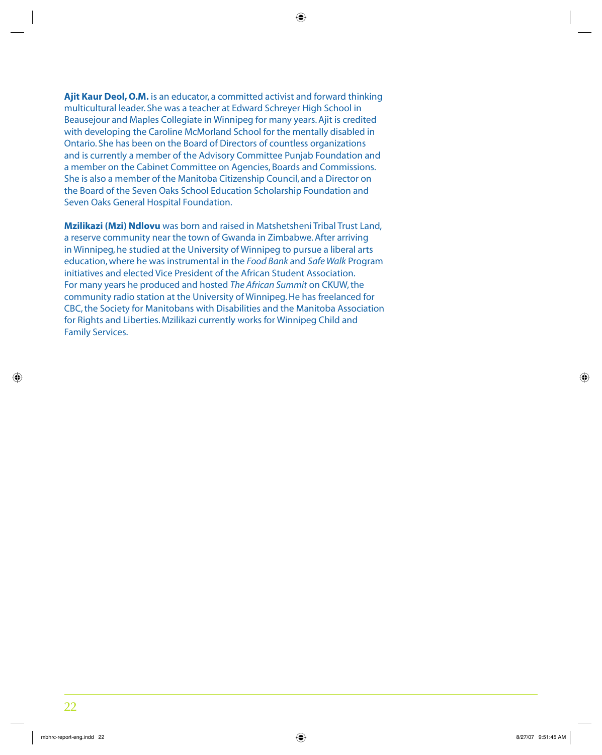**Ajit Kaur Deol, O.M.** is an educator, a committed activist and forward thinking multicultural leader. She was a teacher at Edward Schreyer High School in Beausejour and Maples Collegiate in Winnipeg for many years. Ajit is credited with developing the Caroline McMorland School for the mentally disabled in Ontario. She has been on the Board of Directors of countless organizations and is currently a member of the Advisory Committee Punjab Foundation and a member on the Cabinet Committee on Agencies, Boards and Commissions. She is also a member of the Manitoba Citizenship Council, and a Director on the Board of the Seven Oaks School Education Scholarship Foundation and Seven Oaks General Hospital Foundation.

**Mzilikazi (Mzi) Ndlovu** was born and raised in Matshetsheni Tribal Trust Land, a reserve community near the town of Gwanda in Zimbabwe. After arriving in Winnipeg, he studied at the University of Winnipeg to pursue a liberal arts education, where he was instrumental in the *Food Bank* and *Safe Walk* Program initiatives and elected Vice President of the African Student Association. For many years he produced and hosted *The African Summit* on CKUW, the community radio station at the University of Winnipeg. He has freelanced for CBC, the Society for Manitobans with Disabilities and the Manitoba Association for Rights and Liberties. Mzilikazi currently works for Winnipeg Child and Family Services.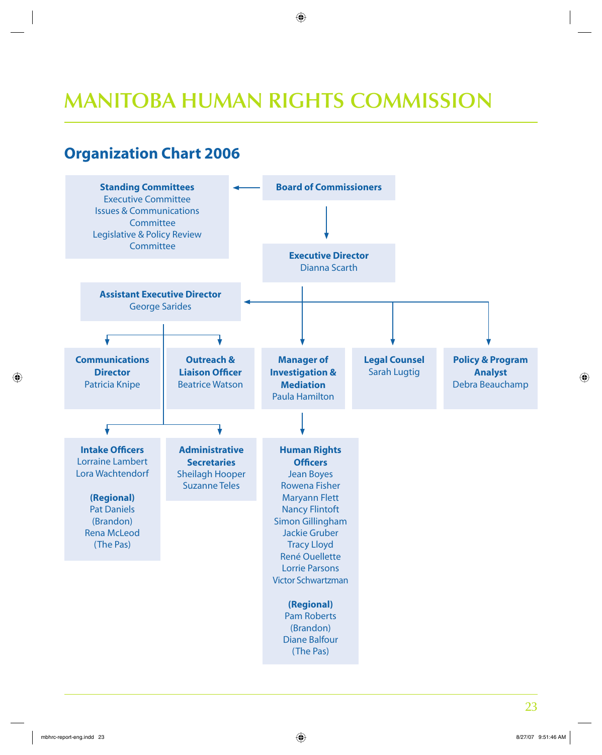# **MANITOBA HUMAN RIGHTS COMMISSION**

## **Organization Chart 2006**

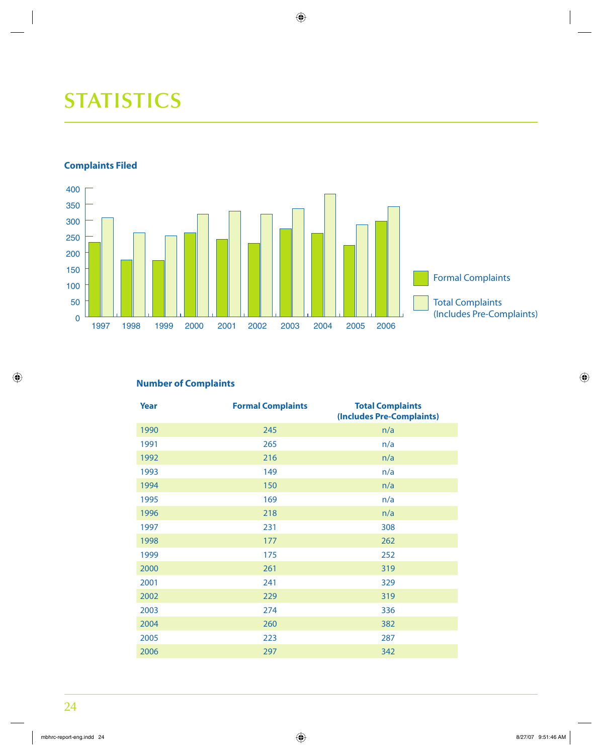# **STATISTICS**

### **Complaints Filed**



### **Number of Complaints**

| Year | <b>Formal Complaints</b> | <b>Total Complaints</b><br>(Includes Pre-Complaints) |
|------|--------------------------|------------------------------------------------------|
| 1990 | 245                      | n/a                                                  |
| 1991 | 265                      | n/a                                                  |
| 1992 | 216                      | n/a                                                  |
| 1993 | 149                      | n/a                                                  |
| 1994 | 150                      | n/a                                                  |
| 1995 | 169                      | n/a                                                  |
| 1996 | 218                      | n/a                                                  |
| 1997 | 231                      | 308                                                  |
| 1998 | 177                      | 262                                                  |
| 1999 | 175                      | 252                                                  |
| 2000 | 261                      | 319                                                  |
| 2001 | 241                      | 329                                                  |
| 2002 | 229                      | 319                                                  |
| 2003 | 274                      | 336                                                  |
| 2004 | 260                      | 382                                                  |
| 2005 | 223                      | 287                                                  |
| 2006 | 297                      | 342                                                  |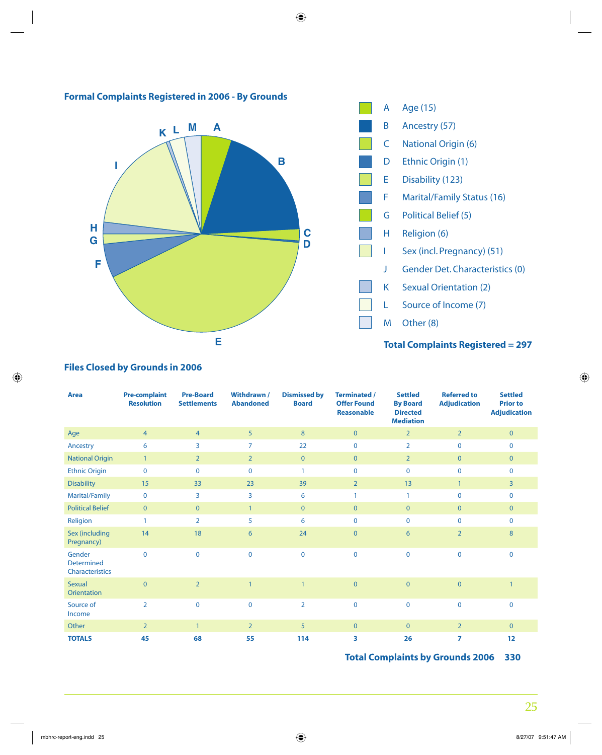





### **Total Complaints Registered = 297**

### **Files Closed by Grounds in 2006**

| <b>Area</b>                                    | <b>Pre-complaint</b><br><b>Resolution</b> | <b>Pre-Board</b><br><b>Settlements</b> | Withdrawn /<br><b>Abandoned</b> | <b>Dismissed by</b><br><b>Board</b> | <b>Terminated /</b><br><b>Offer Found</b><br><b>Reasonable</b> | <b>Settled</b><br><b>By Board</b><br><b>Directed</b><br><b>Mediation</b> | <b>Referred to</b><br><b>Adjudication</b> | <b>Settled</b><br><b>Prior to</b><br><b>Adjudication</b> |
|------------------------------------------------|-------------------------------------------|----------------------------------------|---------------------------------|-------------------------------------|----------------------------------------------------------------|--------------------------------------------------------------------------|-------------------------------------------|----------------------------------------------------------|
| Age                                            | $\overline{4}$                            | $\overline{4}$                         | 5                               | 8                                   | $\overline{0}$                                                 | $\overline{2}$                                                           | $\overline{2}$                            | $\mathbf{0}$                                             |
| Ancestry                                       | 6                                         | 3                                      | $\overline{7}$                  | 22                                  | $\mathbf 0$                                                    | $\overline{2}$                                                           | $\mathbf 0$                               | $\mathbf 0$                                              |
| <b>National Origin</b>                         | $\overline{1}$                            | $\overline{2}$                         | $\overline{2}$                  | $\mathbf{0}$                        | $\overline{0}$                                                 | $\overline{2}$                                                           | $\mathbf{0}$                              | $\mathbf{0}$                                             |
| <b>Ethnic Origin</b>                           | $\mathbf 0$                               | $\mathbf 0$                            | $\mathbf 0$                     | $\mathbf{1}$                        | $\mathbf 0$                                                    | $\mathbf 0$                                                              | $\mathbf 0$                               | $\mathbf 0$                                              |
| <b>Disability</b>                              | 15                                        | 33                                     | 23                              | 39                                  | 2 <sup>1</sup>                                                 | 13                                                                       | $\mathbf{1}$                              | $\overline{3}$                                           |
| Marital/Family                                 | $\mathbf 0$                               | 3                                      | 3                               | 6                                   |                                                                | $\mathbf{1}$                                                             | $\mathbf 0$                               | $\mathbf 0$                                              |
| <b>Political Belief</b>                        | $\overline{0}$                            | $\overline{0}$                         | $\mathbf{1}$                    | $\overline{0}$                      | $\overline{0}$                                                 | $\mathbf{0}$                                                             | $\overline{0}$                            | $\mathbf{0}$                                             |
| Religion                                       | $\mathbf{1}$                              | $\overline{2}$                         | 5                               | 6                                   | $\mathbf 0$                                                    | $\mathbf 0$                                                              | $\mathbf 0$                               | $\mathbf 0$                                              |
| Sex (including<br>Pregnancy)                   | 14                                        | 18                                     | 6                               | 24                                  | $\overline{0}$                                                 | 6                                                                        | $\overline{2}$                            | 8                                                        |
| Gender<br><b>Determined</b><br>Characteristics | $\mathbf 0$                               | $\overline{0}$                         | $\mathbf 0$                     | $\mathbf 0$                         | $\mathbf 0$                                                    | $\mathbf 0$                                                              | $\mathbf 0$                               | $\mathbf 0$                                              |
| <b>Sexual</b><br><b>Orientation</b>            | $\overline{0}$                            | $\overline{2}$                         |                                 | $\overline{1}$                      | $\overline{0}$                                                 | $\overline{0}$                                                           | $\overline{0}$                            | $\overline{1}$                                           |
| Source of<br>Income                            | $\overline{2}$                            | $\Omega$                               | $\mathbf 0$                     | $\overline{2}$                      | $\mathbf{0}$                                                   | $\mathbf 0$                                                              | $\mathbf 0$                               | $\mathbf 0$                                              |
| Other                                          | $\overline{2}$                            | $\mathbf{1}$                           | $\overline{2}$                  | 5                                   | $\overline{0}$                                                 | $\mathbf{0}$                                                             | $\overline{2}$                            | $\mathbf{0}$                                             |
| <b>TOTALS</b>                                  | 45                                        | 68                                     | 55                              | 114                                 | 3                                                              | 26                                                                       | $\overline{7}$                            | 12                                                       |

**Total Complaints by Grounds 2006 330**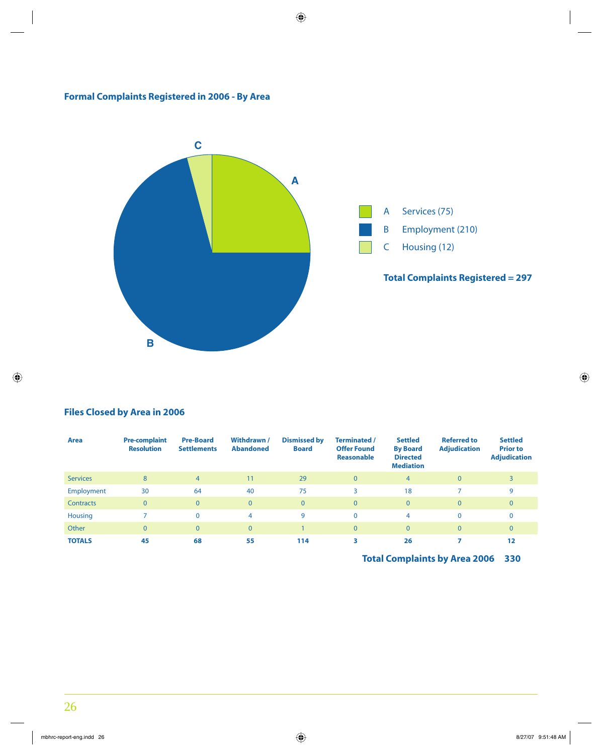### **Formal Complaints Registered in 2006 - By Area**



### **Files Closed by Area in 2006**

| Area            | <b>Pre-complaint</b><br><b>Resolution</b> | <b>Pre-Board</b><br><b>Settlements</b> | Withdrawn /<br><b>Abandoned</b> | <b>Dismissed by</b><br><b>Board</b> | Terminated /<br><b>Offer Found</b><br><b>Reasonable</b> | <b>Settled</b><br><b>By Board</b><br><b>Directed</b><br><b>Mediation</b> | <b>Referred to</b><br><b>Adjudication</b> | <b>Settled</b><br><b>Prior to</b><br><b>Adjudication</b> |
|-----------------|-------------------------------------------|----------------------------------------|---------------------------------|-------------------------------------|---------------------------------------------------------|--------------------------------------------------------------------------|-------------------------------------------|----------------------------------------------------------|
| <b>Services</b> | 8                                         | $\overline{4}$                         | 11                              | 29                                  | $\overline{0}$                                          | $\overline{4}$                                                           | $\mathbf{0}$                              | 3                                                        |
| Employment      | 30                                        | 64                                     | 40                              | 75                                  | 3                                                       | 18                                                                       |                                           | 9                                                        |
| Contracts       | $\overline{0}$                            | $\Omega$                               | $\Omega$                        | $\mathbf{0}$                        | $\overline{0}$                                          | $\overline{0}$                                                           | $\mathbf{0}$                              | $\mathbf{0}$                                             |
| Housing         |                                           | $\mathbf{0}$                           | 4                               | 9                                   | $\mathbf{0}$                                            | 4                                                                        | $\mathbf{0}$                              | $\Omega$                                                 |
| Other           | $\overline{0}$                            | $\overline{0}$                         | $\mathbf{0}$                    |                                     | $\overline{0}$                                          | $\overline{0}$                                                           | $\mathbf{0}$                              | $\mathbf{0}$                                             |
| <b>TOTALS</b>   | 45                                        | 68                                     | 55                              | 114                                 | 3                                                       | 26                                                                       |                                           | 12                                                       |

**Total Complaints by Area 2006 330**